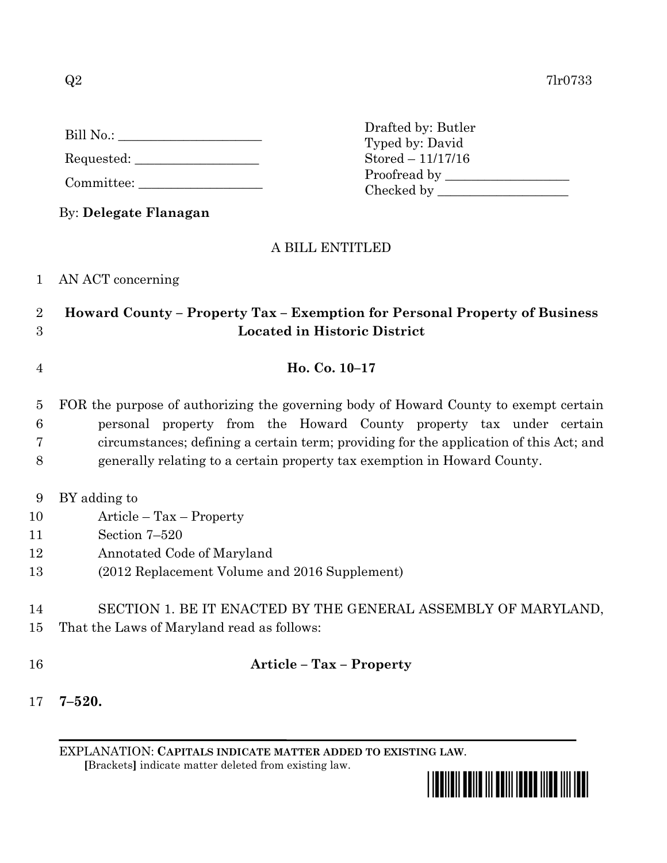| Bill No.: |  |  |
|-----------|--|--|
|           |  |  |

Requested: \_\_\_\_\_\_\_\_\_\_\_\_\_\_\_\_\_\_\_

Committee:

By: **Delegate Flanagan**

## A BILL ENTITLED

1 AN ACT concerning

## 2 **Howard County – Property Tax – Exemption for Personal Property of Business**  3 **Located in Historic District**

4 **Ho. Co. 10–17**

## 5 FOR the purpose of authorizing the governing body of Howard County to exempt certain 6 personal property from the Howard County property tax under certain 7 circumstances; defining a certain term; providing for the application of this Act; and 8 generally relating to a certain property tax exemption in Howard County.

- 9 BY adding to
- 10 Article Tax Property
- 11 Section 7–520
- 12 Annotated Code of Maryland
- 13 (2012 Replacement Volume and 2016 Supplement)
- 14 SECTION 1. BE IT ENACTED BY THE GENERAL ASSEMBLY OF MARYLAND, 15 That the Laws of Maryland read as follows:
- 

## 16 **Article – Tax – Property**

17 **7–520.**

EXPLANATION: **CAPITALS INDICATE MATTER ADDED TO EXISTING LAW**.  **[**Brackets**]** indicate matter deleted from existing law.



Drafted by: Butler Typed by: David Stored – 11/17/16 Proofread by Checked by \_\_\_\_\_\_\_\_\_\_\_\_\_\_\_\_\_\_\_\_